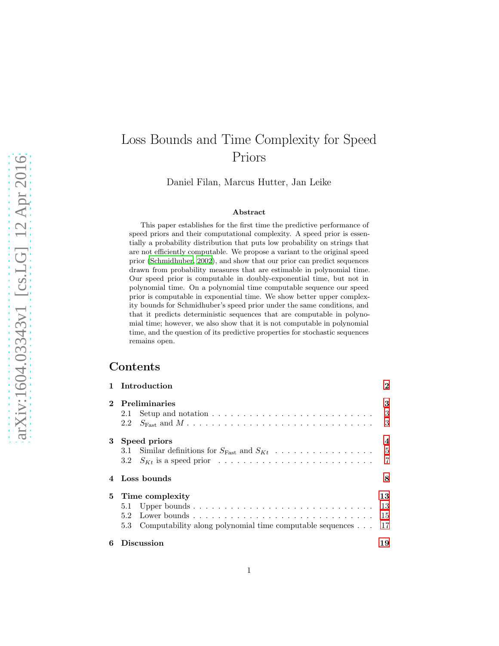# Loss Bounds and Time Complexity for Speed Priors

Daniel Filan, Marcus Hutter, Jan Leike

#### Abstract

This paper establishes for the first time the predictive performance of speed priors and their computational complexity. A speed prior is essentially a probability distribution that puts low probability on strings that are not efficiently computable. We propose a variant to the original speed prior [\(Schmidhuber, 2002](#page-19-0)), and show that our prior can predict sequences drawn from probability measures that are estimable in polynomial time. Our speed prior is computable in doubly-exponential time, but not in polynomial time. On a polynomial time computable sequence our speed prior is computable in exponential time. We show better upper complexity bounds for Schmidhuber's speed prior under the same conditions, and that it predicts deterministic sequences that are computable in polynomial time; however, we also show that it is not computable in polynomial time, and the question of its predictive properties for stochastic sequences remains open.

# Contents

|              | Introduction                                                                               | $\bf{2}$       |
|--------------|--------------------------------------------------------------------------------------------|----------------|
| $\mathbf{2}$ | <b>Preliminaries</b>                                                                       | 3              |
|              | Setup and notation $\ldots \ldots \ldots \ldots \ldots \ldots \ldots \ldots \ldots$<br>2.1 | 3              |
|              | 2.2                                                                                        | 3              |
| 3            | Speed priors                                                                               | $\bf{4}$       |
|              | 3.1 Similar definitions for $S_{\text{Fast}}$ and $S_{Kt}$                                 | $\overline{5}$ |
|              | $3.2^{\circ}$                                                                              | 7              |
|              | Loss bounds                                                                                | 8              |
| 5.           | Time complexity                                                                            | 13             |
|              | 5.1                                                                                        | 13             |
|              | $5.2^{\circ}$                                                                              | 15             |
|              | Computability along polynomial time computable sequences $\ldots$<br>5.3                   | 17             |
| 6            | <b>Discussion</b>                                                                          | 19             |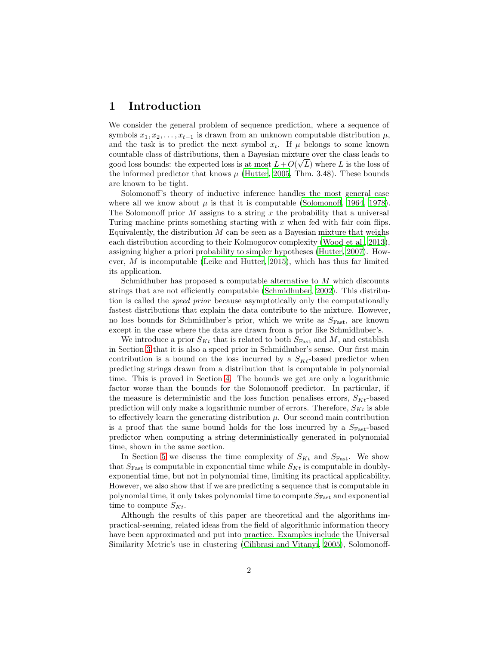# <span id="page-1-0"></span>1 Introduction

We consider the general problem of sequence prediction, where a sequence of symbols  $x_1, x_2, \ldots, x_{t-1}$  is drawn from an unknown computable distribution  $\mu$ , and the task is to predict the next symbol  $x_t$ . If  $\mu$  belongs to some known countable class of distributions, then a Bayesian mixture over the class leads to good loss bounds: the expected loss is at most  $L + O(\sqrt{L})$  where L is the loss of the informed predictor that knows  $\mu$  [\(Hutter](#page-19-1), [2005,](#page-19-1) Thm. 3.48). These bounds are known to be tight.

Solomonoff's theory of inductive inference handles the most general case where all we know about  $\mu$  is that it is computable [\(Solomonoff](#page-19-2), [1964](#page-19-2), [1978\)](#page-20-0). The Solomonoff prior M assigns to a string x the probability that a universal Turing machine prints something starting with  $x$  when fed with fair coin flips. Equivalently, the distribution  $M$  can be seen as a Bayesian mixture that weighs each distribution according to their Kolmogorov complexity [\(Wood et](#page-20-1) al., [2013](#page-20-1)), assigning higher a priori probability to simpler hypotheses [\(Hutter](#page-19-3), [2007\)](#page-19-3). However,  $M$  is incomputable [\(Leike and Hutter](#page-19-4), [2015\)](#page-19-4), which has thus far limited its application.

Schmidhuber has proposed a computable alternative to  $M$  which discounts strings that are not efficiently computable [\(Schmidhuber, 2002\)](#page-19-0). This distribution is called the *speed prior* because asymptotically only the computationally fastest distributions that explain the data contribute to the mixture. However, no loss bounds for Schmidhuber's prior, which we write as  $S_{\text{Fast}}$ , are known except in the case where the data are drawn from a prior like Schmidhuber's.

We introduce a prior  $S_{Kt}$  that is related to both  $S_{\text{Fast}}$  and M, and establish in Section [3](#page-3-0) that it is also a speed prior in Schmidhuber's sense. Our first main contribution is a bound on the loss incurred by a  $S_{Kt}$ -based predictor when predicting strings drawn from a distribution that is computable in polynomial time. This is proved in Section [4.](#page-7-0) The bounds we get are only a logarithmic factor worse than the bounds for the Solomonoff predictor. In particular, if the measure is deterministic and the loss function penalises errors,  $S_{Kt}$ -based prediction will only make a logarithmic number of errors. Therefore,  $S_{Kt}$  is able to effectively learn the generating distribution  $\mu$ . Our second main contribution is a proof that the same bound holds for the loss incurred by a  $S_{\text{Fast}}$ -based predictor when computing a string deterministically generated in polynomial time, shown in the same section.

In Section [5](#page-12-0) we discuss the time complexity of  $S_{Kt}$  and  $S_{\text{Fast}}$ . We show that  $S_{\text{Fast}}$  is computable in exponential time while  $S_{Kt}$  is computable in doublyexponential time, but not in polynomial time, limiting its practical applicability. However, we also show that if we are predicting a sequence that is computable in polynomial time, it only takes polynomial time to compute  $S_{\text{Fast}}$  and exponential time to compute  $S_{Kt}$ .

Although the results of this paper are theoretical and the algorithms impractical-seeming, related ideas from the field of algorithmic information theory have been approximated and put into practice. Examples include the Universal Similarity Metric's use in clustering [\(Cilibrasi and Vitanyi, 2005\)](#page-19-5), Solomonoff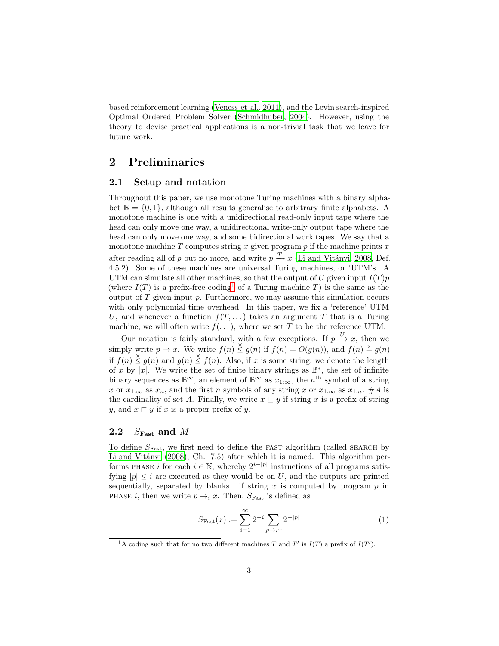based reinforcement learning [\(Veness et al., 2011\)](#page-20-2), and the Levin search-inspired Optimal Ordered Problem Solver [\(Schmidhuber](#page-19-6), [2004\)](#page-19-6). However, using the theory to devise practical applications is a non-trivial task that we leave for future work.

# <span id="page-2-1"></span><span id="page-2-0"></span>2 Preliminaries

#### 2.1 Setup and notation

Throughout this paper, we use monotone Turing machines with a binary alphabet  $\mathbb{B} = \{0, 1\}$ , although all results generalise to arbitrary finite alphabets. A monotone machine is one with a unidirectional read-only input tape where the head can only move one way, a unidirectional write-only output tape where the head can only move one way, and some bidirectional work tapes. We say that a monotone machine  $T$  computes string  $x$  given program  $p$  if the machine prints  $x$ after reading all of p but no more, and write  $p \xrightarrow{T} x$  (Li and Vitányi, 2008, Def. 4.5.2). Some of these machines are universal Turing machines, or 'UTM's. A UTM can simulate all other machines, so that the output of U given input  $I(T)p$ (where  $I(T)$  is a prefix-free coding<sup>[1](#page-2-3)</sup> of a Turing machine T) is the same as the output of  $T$  given input  $p$ . Furthermore, we may assume this simulation occurs with only polynomial time overhead. In this paper, we fix a 'reference' UTM U, and whenever a function  $f(T, \ldots)$  takes an argument T that is a Turing machine, we will often write  $f(\ldots)$ , where we set T to be the reference UTM.

Our notation is fairly standard, with a few exceptions. If  $p \stackrel{U}{\rightarrow} x$ , then we simply write  $p \to x$ . We write  $f(n) \leq g(n)$  if  $f(n) = O(g(n))$ , and  $f(n) \leq g(n)$ if  $f(n) \leq g(n)$  and  $g(n) \leq f(n)$ . Also, if x is some string, we denote the length of x by |x|. We write the set of finite binary strings as  $\mathbb{B}^*$ , the set of infinite binary sequences as  $\mathbb{B}^{\infty}$ , an element of  $\mathbb{B}^{\infty}$  as  $x_{1:\infty}$ , the  $n^{\text{th}}$  symbol of a string x or  $x_{1:\infty}$  as  $x_n$ , and the first n symbols of any string x or  $x_{1:\infty}$  as  $x_{1:n}$ . #A is the cardinality of set A. Finally, we write  $x \subseteq y$  if string x is a prefix of string y, and  $x \sqsubset y$  if x is a proper prefix of y.

### <span id="page-2-2"></span>2.2  $S_{\text{Fast}}$  and M

To define  $S_{\text{Fast}}$ , we first need to define the FAST algorithm (called SEARCH by Li and Vitányi (2008), Ch. 7.5) after which it is named. This algorithm performs PHASE *i* for each  $i \in \mathbb{N}$ , whereby  $2^{i-|p|}$  instructions of all programs satisfying  $|p| \leq i$  are executed as they would be on U, and the outputs are printed sequentially, separated by blanks. If string x is computed by program  $p$  in PHASE *i*, then we write  $p \rightarrow_i x$ . Then,  $S_{\text{Fast}}$  is defined as

<span id="page-2-4"></span>
$$
S_{\text{Fast}}(x) := \sum_{i=1}^{\infty} 2^{-i} \sum_{p \to i} x 2^{-|p|} \tag{1}
$$

<span id="page-2-3"></span><sup>&</sup>lt;sup>1</sup>A coding such that for no two different machines T and T' is  $I(T)$  a prefix of  $I(T')$ .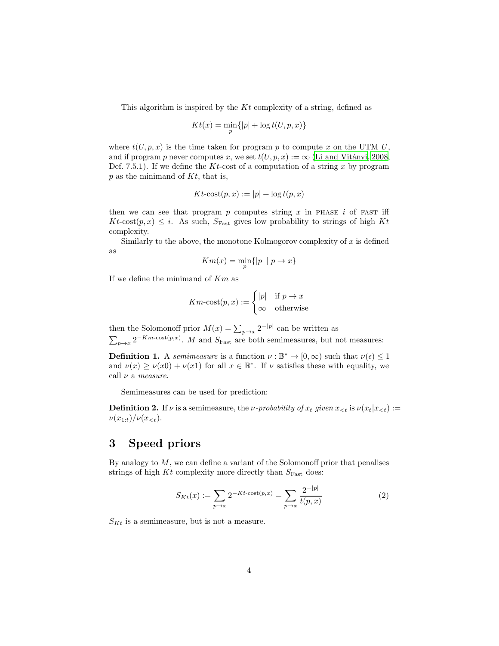This algorithm is inspired by the  $Kt$  complexity of a string, defined as

$$
Kt(x) = \min_{p} \{|p| + \log t(U, p, x)\}
$$

where  $t(U, p, x)$  is the time taken for program p to compute x on the UTM U, and if program p never computes x, we set  $t(U, p, x) := \infty$  (Li and Vitányi, 2008, Def. 7.5.1). If we define the Kt-cost of a computation of a string x by program  $p$  as the minimand of  $Kt$ , that is,

$$
Kt\text{-cost}(p, x) := |p| + \log t(p, x)
$$

then we can see that program  $p$  computes string  $x$  in PHASE  $i$  of FAST iff  $Kt\text{-cost}(p, x) \leq i$ . As such,  $S_{\text{Fast}}$  gives low probability to strings of high  $Kt$ complexity.

Similarly to the above, the monotone Kolmogorov complexity of  $x$  is defined as

$$
Km(x) = \min_{p} \{|p| \mid p \to x\}
$$

If we define the minimand of  $Km$  as

$$
Km\text{-cost}(p, x) := \begin{cases} |p| & \text{if } p \to x \\ \infty & \text{otherwise} \end{cases}
$$

then the Solomonoff prior  $M(x) = \sum_{p \to x} 2^{-|p|}$  can be written as  $\sum_{p\to x} 2^{-Km\text{-cost}(p,x)}$ . M and  $S_{\text{Fast}}$  are both semimeasures, but not measures:

**Definition 1.** A *semimeasure* is a function  $\nu : \mathbb{B}^* \to [0, \infty)$  such that  $\nu(\epsilon) \leq 1$ and  $\nu(x) \geq \nu(x0) + \nu(x1)$  for all  $x \in \mathbb{B}^*$ . If  $\nu$  satisfies these with equality, we call ν a *measure*.

Semimeasures can be used for prediction:

**Definition 2.** If  $\nu$  is a semimeasure, the  $\nu$ -probability of  $x_t$  given  $x_{\leq t}$  is  $\nu(x_t|x_{\leq t}) :=$  $\nu(x_{1:t})/\nu(x_{<};$ 

# <span id="page-3-0"></span>3 Speed priors

By analogy to  $M$ , we can define a variant of the Solomonoff prior that penalises strings of high  $Kt$  complexity more directly than  $S_{\text{Fast}}$  does:

<span id="page-3-1"></span>
$$
S_{Kt}(x) := \sum_{p \to x} 2^{-Kt \cdot \text{cost}(p,x)} = \sum_{p \to x} \frac{2^{-|p|}}{t(p,x)}
$$
(2)

 $S_{Kt}$  is a semimeasure, but is not a measure.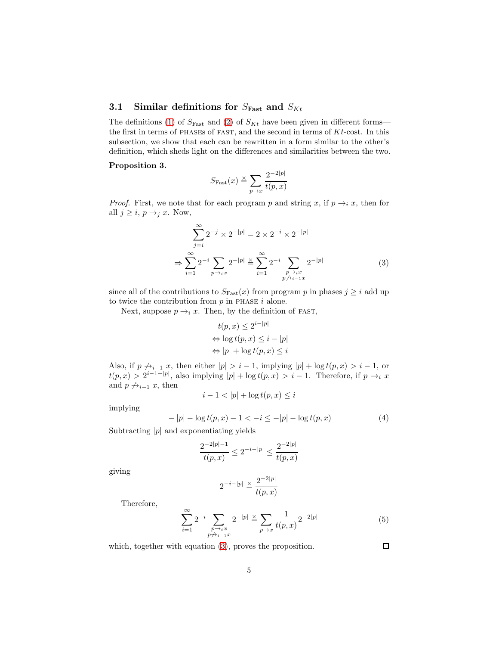### <span id="page-4-0"></span>3.1 Similar definitions for  $S_{\text{Fast}}$  and  $S_{Kt}$

The definitions [\(1\)](#page-2-4) of  $S_{\text{Fast}}$  and [\(2\)](#page-3-1) of  $S_{Kt}$  have been given in different forms the first in terms of PHASEs of FAST, and the second in terms of  $Kt$ -cost. In this subsection, we show that each can be rewritten in a form similar to the other's definition, which sheds light on the differences and similarities between the two.

#### <span id="page-4-3"></span>Proposition 3.

$$
S_{\text{Fast}}(x) \stackrel{\times}{=} \sum_{p \to x} \frac{2^{-2|p|}}{t(p,x)}
$$

*Proof.* First, we note that for each program p and string x, if  $p \rightarrow_i x$ , then for all  $j \geq i$ ,  $p \rightarrow_j x$ . Now,

$$
\sum_{j=i}^{\infty} 2^{-j} \times 2^{-|p|} = 2 \times 2^{-i} \times 2^{-|p|}
$$
  

$$
\Rightarrow \sum_{i=1}^{\infty} 2^{-i} \sum_{p \to i} 2^{-|p|} \stackrel{\times}{=} \sum_{i=1}^{\infty} 2^{-i} \sum_{\substack{p \to i} x \ p \to i-1x} 2^{-|p|}
$$
(3)

since all of the contributions to  $S_{\text{Fast}}(x)$  from program p in phases  $j \geq i$  add up to twice the contribution from  $p$  in PHASE  $i$  alone.

Next, suppose  $p \rightarrow_i x$ . Then, by the definition of FAST,

<span id="page-4-1"></span>
$$
t(p, x) \le 2^{i-|p|}
$$
  
\n
$$
\Leftrightarrow \log t(p, x) \le i - |p|
$$
  
\n
$$
\Leftrightarrow |p| + \log t(p, x) \le i
$$

Also, if  $p \nightharpoonup_{i-1} x$ , then either  $|p| > i - 1$ , implying  $|p| + \log t(p, x) > i - 1$ , or  $t(p, x) > 2^{i-1-|p|}$ , also implying  $|p| + \log t(p, x) > i - 1$ . Therefore, if  $p \to i x$ and  $p \nleftrightarrow_{i-1} x$ , then

$$
i - 1 < |p| + \log t(p, x) \le i
$$

implying

<span id="page-4-2"></span>
$$
-|p| - \log t(p, x) - 1 < -i \le -|p| - \log t(p, x) \tag{4}
$$

Subtracting  $|p|$  and exponentiating yields

$$
\frac{2^{-2|p|-1}}{t(p,x)}\leq 2^{-i-|p|}\leq \frac{2^{-2|p|}}{t(p,x)}
$$

giving

$$
2^{-i-|p|} \stackrel{\scriptscriptstyle{\times}}{=} \frac{2^{-2|p|}}{t(p,x)}
$$

Therefore,

$$
\sum_{i=1}^{\infty} 2^{-i} \sum_{\substack{p \to ix \\ p \neq i-1x}} 2^{-|p|} \stackrel{\times}{=} \sum_{p \to x} \frac{1}{t(p,x)} 2^{-2|p|} \tag{5}
$$

which, together with equation  $(3)$ , proves the proposition.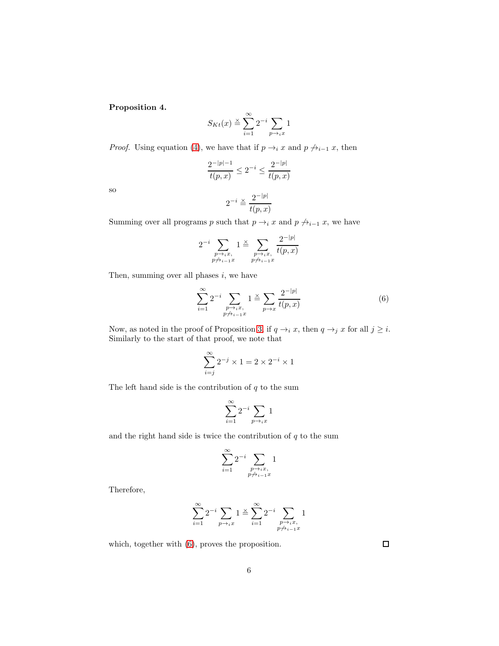### Proposition 4.

$$
S_{Kt}(x) \stackrel{\times}{=} \sum_{i=1}^{\infty} 2^{-i} \sum_{p \to_i x} 1
$$

*Proof.* Using equation [\(4\)](#page-4-2), we have that if  $p \rightarrow_i x$  and  $p \not\rightarrow_{i-1} x$ , then

$$
\frac{2^{-|p|-1}}{t(p,x)} \le 2^{-i} \le \frac{2^{-|p|}}{t(p,x)}
$$

so

$$
2^{-i} \stackrel{\times}{=} \frac{2^{-|p|}}{t(p,x)}
$$

Summing over all programs p such that  $p \rightarrow_i x$  and  $p \not\rightarrow_{i-1} x$ , we have

$$
2^{-i}\sum_{\substack{p\to_i x,\\p\neq_{i-1}x}}1\stackrel{\times}{=}\sum_{\substack{p\to_i x,\\p\neq_{i-1}x}}\frac{2^{-|p|}}{t(p,x)}
$$

Then, summing over all phases  $i$ , we have

<span id="page-5-0"></span>
$$
\sum_{i=1}^{\infty} 2^{-i} \sum_{\substack{p \to i x, \\ p \neq i-1 x}} 1 \stackrel{\times}{=} \sum_{p \to x} \frac{2^{-|p|}}{t(p, x)}
$$
(6)

Now, as noted in the proof of Proposition [3,](#page-4-3) if  $q \to_i x$ , then  $q \to_j x$  for all  $j \geq i$ . Similarly to the start of that proof, we note that

$$
\sum_{i=j}^{\infty} 2^{-j} \times 1 = 2 \times 2^{-i} \times 1
$$

The left hand side is the contribution of  $q$  to the sum

$$
\sum_{i=1}^\infty 2^{-i} \sum_{p\to_i x} 1
$$

and the right hand side is twice the contribution of  $q$  to the sum

$$
\sum_{i=1}^{\infty} 2^{-i} \sum_{\substack{p\to i x,\\ p\neq i-1 x}} 1
$$

Therefore,

$$
\sum_{i=1}^{\infty} 2^{-i} \sum_{p \to_i x} 1 \stackrel{\scriptscriptstyle{\Delta}}{=} \sum_{i=1}^{\infty} 2^{-i} \sum_{\substack{p \to_i x, \\ p \not\to i-1 x}} 1
$$

which, together with  $(6)$ , proves the proposition.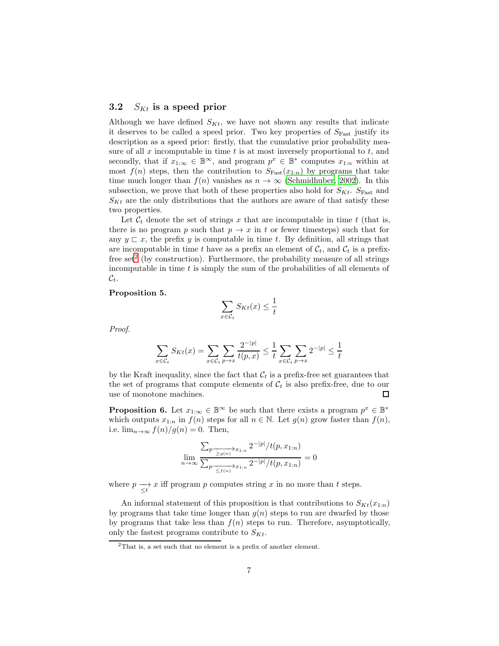### <span id="page-6-0"></span>3.2  $S_{Kt}$  is a speed prior

Although we have defined  $S_{Kt}$ , we have not shown any results that indicate it deserves to be called a speed prior. Two key properties of  $S_{\text{Fast}}$  justify its description as a speed prior: firstly, that the cumulative prior probability measure of all  $x$  incomputable in time  $t$  is at most inversely proportional to  $t$ , and secondly, that if  $x_{1:\infty} \in \mathbb{B}^{\infty}$ , and program  $p^x \in \mathbb{B}^*$  computes  $x_{1:n}$  within at most  $f(n)$  steps, then the contribution to  $S_{\text{Fast}}(x_{1:n})$  by programs that take time much longer than  $f(n)$  vanishes as  $n \to \infty$  [\(Schmidhuber](#page-19-0), [2002\)](#page-19-0). In this subsection, we prove that both of these properties also hold for  $S_{Kt}$ .  $S_{\text{Fast}}$  and  $S_{Kt}$  are the only distributions that the authors are aware of that satisfy these two properties.

Let  $\mathcal{C}_t$  denote the set of strings x that are incomputable in time t (that is, there is no program p such that  $p \to x$  in t or fewer timesteps) such that for any  $y \nightharpoonup x$ , the prefix y is computable in time t. By definition, all strings that are incomputable in time t have as a prefix an element of  $\mathcal{C}_t$ , and  $\mathcal{C}_t$  is a prefix-free set<sup>[2](#page-6-1)</sup> (by construction). Furthermore, the probability measure of all strings incomputable in time  $t$  is simply the sum of the probabilities of all elements of  $\mathcal{C}_t$ .

#### Proposition 5.

$$
\sum_{x \in \mathcal{C}_t} S_{Kt}(x) \le \frac{1}{t}
$$

*Proof.*

$$
\sum_{x \in \mathcal{C}_t} S_{Kt}(x) = \sum_{x \in \mathcal{C}_t} \sum_{p \to x} \frac{2^{-|p|}}{t(p, x)} \le \frac{1}{t} \sum_{x \in \mathcal{C}_t} \sum_{p \to x} 2^{-|p|} \le \frac{1}{t}
$$

by the Kraft inequality, since the fact that  $\mathcal{C}_t$  is a prefix-free set guarantees that the set of programs that compute elements of  $C_t$  is also prefix-free, due to our use of monotone machines. use of monotone machines.

**Proposition 6.** Let  $x_{1:\infty} \in \mathbb{B}^{\infty}$  be such that there exists a program  $p^x \in \mathbb{B}^*$ which outputs  $x_{1:n}$  in  $f(n)$  steps for all  $n \in \mathbb{N}$ . Let  $g(n)$  grow faster than  $f(n)$ , i.e.  $\lim_{n\to\infty} f(n)/g(n) = 0$ . Then,

$$
\lim_{n \to \infty} \frac{\sum_{p \ge g(n)} x_{1:n} 2^{-|p|} / t(p, x_{1:n})}{\sum_{p \le f(n)} x_{1:n} 2^{-|p|} / t(p, x_{1:n})} = 0
$$

where  $p \longrightarrow x$  iff program p computes string x in no more than t steps.

An informal statement of this proposition is that contributions to  $S_{Kt}(x_{1:n})$ by programs that take time longer than  $g(n)$  steps to run are dwarfed by those by programs that take less than  $f(n)$  steps to run. Therefore, asymptotically, only the fastest programs contribute to  $S_{Kt}$ .

<span id="page-6-1"></span><sup>2</sup>That is, a set such that no element is a prefix of another element.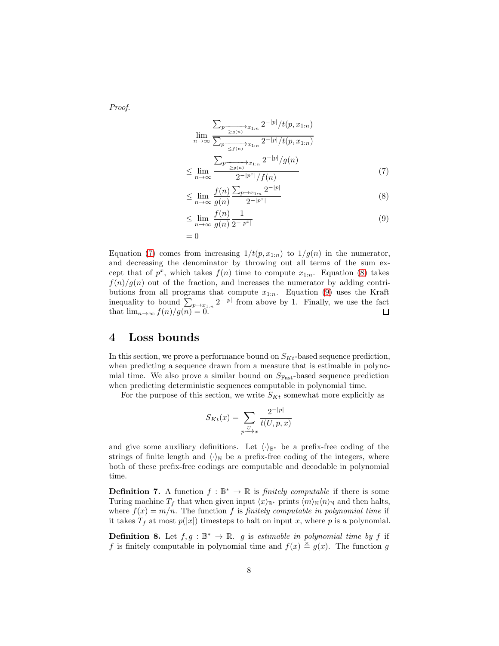*Proof.*

$$
\sum_{p} \frac{\sum_{p} \frac{2^{-|p|}}{f(p, x_{1:n})}}{\sum_{p} \frac{2^{-|p|}}{f(p, x_{1:n})}} \frac{2^{-|p|}}{f(p, x_{1:n})}
$$
\n
$$
\leq \lim_{n \to \infty} \frac{\sum_{p} \frac{2^{-|p|}}{f(p, x_{1:n})}}{\frac{2^{-|p|}}{f(p, x_{1:n})}} \tag{7}
$$

<span id="page-7-2"></span><span id="page-7-1"></span>
$$
\leq \lim_{n \to \infty} \frac{f(n)}{g(n)} \frac{\sum_{p \to x_{1:n}} 2^{-|p|}}{2^{-|p^x|}} \tag{8}
$$

<span id="page-7-3"></span>
$$
\leq \lim_{n \to \infty} \frac{f(n)}{g(n)} \frac{1}{2^{-|p^x|}}
$$
\n
$$
= 0
$$
\n(9)

Equation [\(7\)](#page-7-1) comes from increasing  $1/t(p, x_{1:n})$  to  $1/g(n)$  in the numerator, and decreasing the denominator by throwing out all terms of the sum except that of  $p^x$ , which takes  $f(n)$  time to compute  $x_{1:n}$ . Equation [\(8\)](#page-7-2) takes  $f(n)/g(n)$  out of the fraction, and increases the numerator by adding contributions from all programs that compute  $x_{1:n}$ . Equation [\(9\)](#page-7-3) uses the Kraft inequality to bound  $\sum_{p\to x_{1:n}} 2^{-|p|}$  from above by 1. Finally, we use the fact that  $\lim_{n\to\infty} f(n)/g(n) = 0$ . 口

## <span id="page-7-0"></span>4 Loss bounds

In this section, we prove a performance bound on  $S_{Kt}$ -based sequence prediction, when predicting a sequence drawn from a measure that is estimable in polynomial time. We also prove a similar bound on  $S_{\text{Fast}}$ -based sequence prediction when predicting deterministic sequences computable in polynomial time.

For the purpose of this section, we write  $S_{Kt}$  somewhat more explicitly as

$$
S_{Kt}(x) = \sum_{p \xrightarrow{U} x} \frac{2^{-|p|}}{t(U, p, x)}
$$

and give some auxiliary definitions. Let  $\langle \cdot \rangle_{\mathbb{B}^*}$  be a prefix-free coding of the strings of finite length and  $\langle \cdot \rangle_N$  be a prefix-free coding of the integers, where both of these prefix-free codings are computable and decodable in polynomial time.

**Definition 7.** A function  $f : \mathbb{B}^* \to \mathbb{R}$  is *finitely computable* if there is some Turing machine  $T_f$  that when given input  $\langle x \rangle_{\mathbb{B}^*}$  prints  $\langle m \rangle_{\mathbb{N}} \langle n \rangle_{\mathbb{N}}$  and then halts, where  $f(x) = m/n$ . The function f is finitely computable in polynomial time if it takes  $T_f$  at most  $p(|x|)$  timesteps to halt on input x, where p is a polynomial.

**Definition 8.** Let  $f, g : \mathbb{B}^* \to \mathbb{R}$ . g is *estimable in polynomial time by* f if f is finitely computable in polynomial time and  $f(x) \triangleq g(x)$ . The function g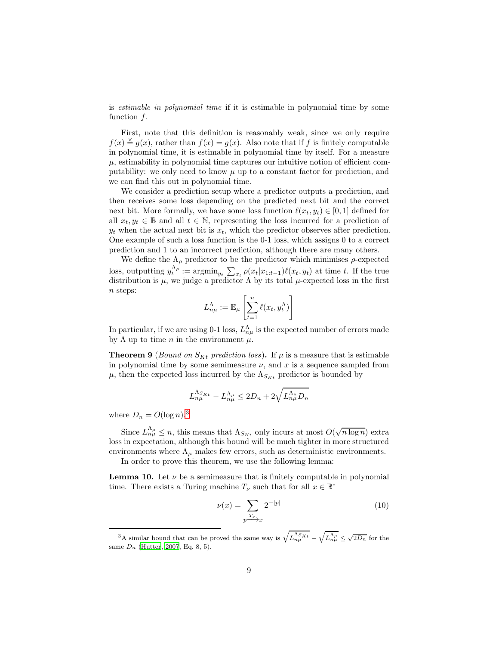is *estimable in polynomial time* if it is estimable in polynomial time by some function  $f$ .

First, note that this definition is reasonably weak, since we only require  $f(x) \stackrel{\times}{=} g(x)$ , rather than  $f(x) = g(x)$ . Also note that if f is finitely computable in polynomial time, it is estimable in polynomial time by itself. For a measure  $\mu$ , estimability in polynomial time captures our intuitive notion of efficient computability: we only need to know  $\mu$  up to a constant factor for prediction, and we can find this out in polynomial time.

We consider a prediction setup where a predictor outputs a prediction, and then receives some loss depending on the predicted next bit and the correct next bit. More formally, we have some loss function  $\ell(x_t, y_t) \in [0, 1]$  defined for all  $x_t, y_t \in \mathbb{B}$  and all  $t \in \mathbb{N}$ , representing the loss incurred for a prediction of  $y_t$  when the actual next bit is  $x_t$ , which the predictor observes after prediction. One example of such a loss function is the 0-1 loss, which assigns 0 to a correct prediction and 1 to an incorrect prediction, although there are many others.

We define the  $\Lambda_{\rho}$  predictor to be the predictor which minimises  $\rho$ -expected loss, outputting  $y_t^{\Lambda_p} := \operatorname{argmin}_{y_t} \sum_{x_t} \rho(x_t | x_{1:t-1}) \ell(x_t, y_t)$  at time t. If the true distribution is  $\mu$ , we judge a predictor  $\Lambda$  by its total  $\mu$ -expected loss in the first n steps:

$$
L_{n\mu}^{\Lambda} := \mathbb{E}_{\mu} \left[ \sum_{t=1}^{n} \ell(x_t, y_t^{\Lambda}) \right]
$$

In particular, if we are using 0-1 loss,  $L_{n\mu}^{\Lambda}$  is the expected number of errors made by  $\Lambda$  up to time n in the environment  $\mu$ .

<span id="page-8-2"></span>**Theorem 9** (*Bound on*  $S_{Kt}$  *prediction loss*). If  $\mu$  is a measure that is estimable in polynomial time by some semimeasure  $\nu$ , and  $x$  is a sequence sampled from  $\mu$ , then the expected loss incurred by the  $\Lambda_{S_{Kt}}$  predictor is bounded by

$$
L_{n\mu}^{\Lambda_{S_{Kt}}} - L_{n\mu}^{\Lambda_{\mu}} \le 2D_n + 2\sqrt{L_{n\mu}^{\Lambda_{\mu}}D_n}
$$

where  $D_n = O(\log n)^3$  $D_n = O(\log n)^3$ .

Since  $L_{n\mu}^{\Lambda_{\mu}} \leq n$ , this means that  $\Lambda_{S_{Kt}}$  only incurs at most  $O(\sqrt{n \log n})$  extra loss in expectation, although this bound will be much tighter in more structured environments where  $\Lambda_{\mu}$  makes few errors, such as deterministic environments.

In order to prove this theorem, we use the following lemma:

<span id="page-8-3"></span>**Lemma 10.** Let  $\nu$  be a semimeasure that is finitely computable in polynomial time. There exists a Turing machine  $T_{\nu}$  such that for all  $x\in\mathbb{B}^*$ 

<span id="page-8-1"></span>
$$
\nu(x) = \sum_{\substack{T\nu\\p \to x}} 2^{-|p|} \tag{10}
$$

<span id="page-8-0"></span><sup>&</sup>lt;sup>3</sup>A similar bound that can be proved the same way is  $\sqrt{L_{n\mu}^{\Lambda_{S}}\kappa_t} - \sqrt{L_{n\mu}^{\Lambda_{\mu}}} \leq \sqrt{2D_n}$  for the same  $D_n$  [\(Hutter, 2007,](#page-19-3) Eq. 8, 5).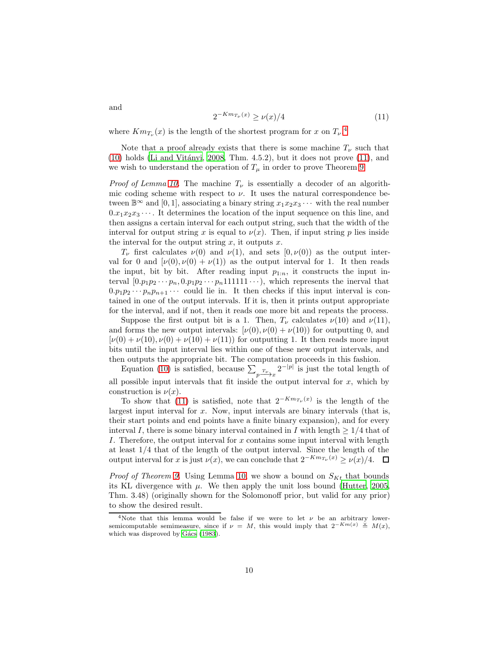<span id="page-9-1"></span>
$$
2^{-Km_{T_{\nu}}(x)} \ge \nu(x)/4 \tag{11}
$$

where  $Km_{T_{\nu}}(x)$  is the length of the shortest program for x on  $T_{\nu}$ .<sup>[4](#page-9-0)</sup>

Note that a proof already exists that there is some machine  $T_{\nu}$  such that  $(10)$  holds (Li and Vitányi, [2008,](#page-19-7) Thm. 4.5.2), but it does not prove  $(11)$ , and we wish to understand the operation of  $T_{\mu}$  in order to prove Theorem [9.](#page-8-2)

*Proof of Lemma [10.](#page-8-3)* The machine  $T_{\nu}$  is essentially a decoder of an algorithmic coding scheme with respect to  $\nu$ . It uses the natural correspondence between  $\mathbb{B}^{\infty}$  and [0, 1], associating a binary string  $x_1x_2x_3 \cdots$  with the real number  $0.x_1x_2x_3\cdots$ . It determines the location of the input sequence on this line, and then assigns a certain interval for each output string, such that the width of the interval for output string x is equal to  $\nu(x)$ . Then, if input string p lies inside the interval for the output string  $x$ , it outputs  $x$ .

 $T_{\nu}$  first calculates  $\nu(0)$  and  $\nu(1)$ , and sets  $[0, \nu(0))$  as the output interval for 0 and  $[\nu(0), \nu(0) + \nu(1)]$  as the output interval for 1. It then reads the input, bit by bit. After reading input  $p_{1:n}$ , it constructs the input interval  $[0.p_1p_2 \cdots p_n, 0.p_1p_2 \cdots p_n111111 \cdots]$ , which represents the inerval that  $0.p_1p_2 \cdots p_np_{n+1} \cdots$  could lie in. It then checks if this input interval is contained in one of the output intervals. If it is, then it prints output appropriate for the interval, and if not, then it reads one more bit and repeats the process.

Suppose the first output bit is a 1. Then,  $T_{\nu}$  calculates  $\nu(10)$  and  $\nu(11)$ , and forms the new output intervals:  $[\nu(0), \nu(0) + \nu(10)]$  for outputting 0, and  $[\nu(0) + \nu(10), \nu(0) + \nu(10) + \nu(11)]$  for outputting 1. It then reads more input bits until the input interval lies within one of these new output intervals, and then outputs the appropriate bit. The computation proceeds in this fashion.

Equation [\(10\)](#page-8-1) is satisfied, because  $\sum_{p} \frac{r_{\nu}}{x} 2^{-|p|}$  is just the total length of all possible input intervals that fit inside the output interval for  $x$ , which by construction is  $\nu(x)$ .

To show that [\(11\)](#page-9-1) is satisfied, note that  $2^{-Km_{T_{\nu}}(x)}$  is the length of the largest input interval for x. Now, input intervals are binary intervals (that is, their start points and end points have a finite binary expansion), and for every interval I, there is some binary interval contained in I with length  $\geq 1/4$  that of I. Therefore, the output interval for  $x$  contains some input interval with length at least 1/4 that of the length of the output interval. Since the length of the output interval for x is just  $\nu(x)$ , we can conclude that  $2^{-Km_{T_{\nu}}(x)} \ge \nu(x)/4$ .

*Proof of Theorem [9.](#page-8-2)* Using Lemma [10,](#page-8-3) we show a bound on  $S_{Kt}$  that bounds its KL divergence with  $\mu$ . We then apply the unit loss bound [\(Hutter](#page-19-1), [2005](#page-19-1), Thm. 3.48) (originally shown for the Solomonoff prior, but valid for any prior) to show the desired result.

and

<span id="page-9-0"></span><sup>&</sup>lt;sup>4</sup>Note that this lemma would be false if we were to let  $\nu$  be an arbitrary lowersemicomputable semimeasure, since if  $\nu = M$ , this would imply that  $2^{-Km(x)} \triangleq M(x)$ , which was disproved by Gács (1983).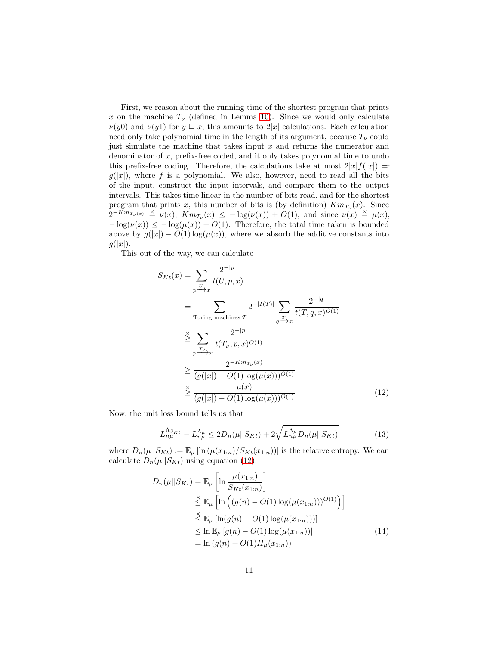First, we reason about the running time of the shortest program that prints x on the machine  $T_{\nu}$  (defined in Lemma [10\)](#page-8-3). Since we would only calculate  $\nu(y0)$  and  $\nu(y1)$  for  $y \sqsubseteq x$ , this amounts to  $2|x|$  calculations. Each calculation need only take polynomial time in the length of its argument, because  $T_{\nu}$  could just simulate the machine that takes input  $x$  and returns the numerator and denominator of x, prefix-free coded, and it only takes polynomial time to undo this prefix-free coding. Therefore, the calculations take at most  $2|x|f(|x|) =$ :  $g(|x|)$ , where f is a polynomial. We also, however, need to read all the bits of the input, construct the input intervals, and compare them to the output intervals. This takes time linear in the number of bits read, and for the shortest program that prints x, this number of bits is (by definition)  $Km_{T_{\nu}}(x)$ . Since  $2^{-Km_{T_{\nu}(x)}} \triangleq \nu(x), \ Km_{T_{\nu}}(x) \leq -\log(\nu(x)) + O(1),$  and since  $\nu(x) \triangleq \mu(x),$  $-\log(\nu(x)) \leq -\log(\mu(x)) + O(1)$ . Therefore, the total time taken is bounded above by  $q(|x|) - O(1) \log(\mu(x))$ , where we absorb the additive constants into  $g(|x|)$ .

This out of the way, we can calculate

$$
S_{Kt}(x) = \sum_{p \to x} \frac{2^{-|p|}}{t(U, p, x)}
$$
  
\n
$$
= \sum_{\text{Turing machines } T} 2^{-|I(T)|} \sum_{q \to x} \frac{2^{-|q|}}{t(T, q, x)^{O(1)}}
$$
  
\n
$$
\geq \sum_{p \to x} \frac{2^{-|p|}}{t(T_{\nu}, p, x)^{O(1)}}
$$
  
\n
$$
\geq \frac{2^{-Km_{T_{\nu}}(x)}}{(g(|x|) - O(1) \log(\mu(x)))^{O(1)}}
$$
  
\n
$$
\geq \frac{\mu(x)}{(g(|x|) - O(1) \log(\mu(x)))^{O(1)}}
$$
(12)

Now, the unit loss bound tells us that

<span id="page-10-2"></span><span id="page-10-0"></span>
$$
L_{n\mu}^{\Lambda_{S_{Kt}}} - L_{n\mu}^{\Lambda_{\mu}} \le 2D_n(\mu||S_{Kt}) + 2\sqrt{L_{n\mu}^{\Lambda_{\mu}}D_n(\mu||S_{Kt})}
$$
(13)

where  $D_n(\mu||S_{Kt}) := \mathbb{E}_{\mu} [\ln(\mu(x_{1:n})/S_{Kt}(x_{1:n}))]$  is the relative entropy. We can calculate  $D_n(\mu||S_{Kt})$  using equation [\(12\)](#page-10-0):

<span id="page-10-1"></span>
$$
D_n(\mu||S_{Kt}) = \mathbb{E}_{\mu} \left[ \ln \frac{\mu(x_{1:n})}{S_{Kt}(x_{1:n})} \right]
$$
  
\n
$$
\stackrel{\geq}{\leq} \mathbb{E}_{\mu} \left[ \ln \left( (g(n) - O(1) \log(\mu(x_{1:n})))^{O(1)} \right) \right]
$$
  
\n
$$
\stackrel{\geq}{\leq} \mathbb{E}_{\mu} \left[ \ln(g(n) - O(1) \log(\mu(x_{1:n}))) \right]
$$
  
\n
$$
\leq \ln \mathbb{E}_{\mu} \left[ g(n) - O(1) \log(\mu(x_{1:n})) \right]
$$
  
\n
$$
= \ln (g(n) + O(1) H_{\mu}(x_{1:n}))
$$
\n(14)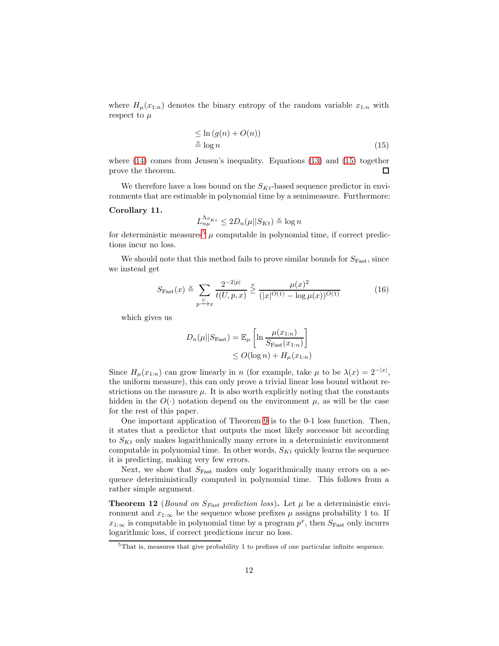where  $H_{\mu}(x_{1:n})$  denotes the binary entropy of the random variable  $x_{1:n}$  with respect to  $\mu$ 

<span id="page-11-0"></span>
$$
\leq \ln (g(n) + O(n))
$$
  

$$
\leq \log n \tag{15}
$$

where [\(14\)](#page-10-1) comes from Jensen's inequality. Equations [\(13\)](#page-10-2) and [\(15\)](#page-11-0) together prove the theorem.  $\Box$ 

We therefore have a loss bound on the  $S_{Kt}$ -based sequence predictor in environments that are estimable in polynomial time by a semimeasure. Furthermore:

#### Corollary 11.

<span id="page-11-2"></span>
$$
L_{n\mu}^{\Lambda_{SKt}} \leq 2D_n(\mu||S_{Kt}) \stackrel{\times}{=} \log n
$$

for deterministic measures<sup>[5](#page-11-1)</sup>  $\mu$  computable in polynomial time, if correct predictions incur no loss.

We should note that this method fails to prove similar bounds for  $S_{\text{Fast}}$ , since we instead get

$$
S_{\text{Fast}}(x) \stackrel{\times}{=} \sum_{p \xrightarrow{U} x} \frac{2^{-2|p|}}{t(U, p, x)} \stackrel{\times}{\geq} \frac{\mu(x)^2}{(|x|^{O(1)} - \log \mu(x))^{O(1)}} \tag{16}
$$

which gives us

$$
D_n(\mu||S_{\text{Fast}}) = \mathbb{E}_{\mu}\left[\ln \frac{\mu(x_{1:n})}{S_{\text{Fast}}(x_{1:n})}\right]
$$
  

$$
\leq O(\log n) + H_{\mu}(x_{1:n})
$$

Since  $H_{\mu}(x_{1:n})$  can grow linearly in n (for example, take  $\mu$  to be  $\lambda(x) = 2^{-|x|}$ , the uniform measure), this can only prove a trivial linear loss bound without restrictions on the measure  $\mu$ . It is also worth explicitly noting that the constants hidden in the  $O(\cdot)$  notation depend on the environment  $\mu$ , as will be the case for the rest of this paper.

One important application of Theorem [9](#page-8-2) is to the 0-1 loss function. Then, it states that a predictor that outputs the most likely successor bit according to  $S_{Kt}$  only makes logarithmically many errors in a deterministic environment computable in polynomial time. In other words,  $S_{Kt}$  quickly learns the sequence it is predicting, making very few errors.

Next, we show that  $S_{\text{Fast}}$  makes only logarithmically many errors on a sequence deteriministically computed in polynomial time. This follows from a rather simple argument.

**Theorem 12** (*Bound on*  $S_{Fast}$  *prediction loss*). Let  $\mu$  be a deterministic environment and  $x_{1:\infty}$  be the sequence whose prefixes  $\mu$  assigns probability 1 to. If  $x_{1:\infty}$  is computable in polynomial time by a program  $p^x$ , then  $S_{\text{Fast}}$  only incurrs logarithmic loss, if correct predictions incur no loss.

<span id="page-11-1"></span><sup>5</sup>That is, measures that give probability 1 to prefixes of one particular infinite sequence.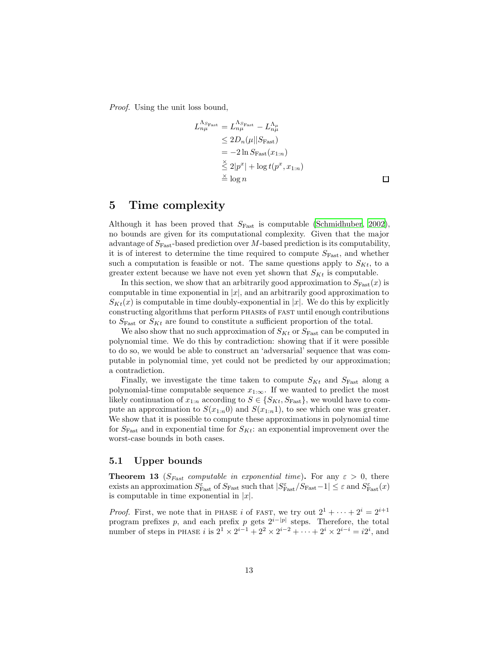*Proof.* Using the unit loss bound,

$$
L_{n\mu}^{\Lambda_{S_{\text{Fast}}}} = L_{n\mu}^{\Lambda_{S_{\text{Fast}}}} - L_{n\mu}^{\Lambda_{\mu}}
$$
  
\n
$$
\leq 2D_n(\mu||S_{\text{Fast}})
$$
  
\n
$$
= -2 \ln S_{\text{Fast}}(x_{1:n})
$$
  
\n
$$
\leq 2|p^x| + \log t(p^x, x_{1:n})
$$
  
\n
$$
\leq \log n
$$

 $\Box$ 

# <span id="page-12-0"></span>5 Time complexity

Although it has been proved that  $S_{\text{Fast}}$  is computable [\(Schmidhuber, 2002](#page-19-0)), no bounds are given for its computational complexity. Given that the major advantage of  $S_{\text{Fast}}$ -based prediction over M-based prediction is its computability, it is of interest to determine the time required to compute  $S_{\text{Fast}}$ , and whether such a computation is feasible or not. The same questions apply to  $S_{Kt}$ , to a greater extent because we have not even yet shown that  $S_{Kt}$  is computable.

In this section, we show that an arbitrarily good approximation to  $S_{\text{Fast}}(x)$  is computable in time exponential in  $|x|$ , and an arbitrarily good approximation to  $S_{Kt}(x)$  is computable in time doubly-exponential in |x|. We do this by explicitly constructing algorithms that perform phases of fast until enough contributions to  $S_{\text{Fast}}$  or  $S_{Kt}$  are found to constitute a sufficient proportion of the total.

We also show that no such approximation of  $S_{Kt}$  or  $S_{\text{Fast}}$  can be computed in polynomial time. We do this by contradiction: showing that if it were possible to do so, we would be able to construct an 'adversarial' sequence that was computable in polynomial time, yet could not be predicted by our approximation; a contradiction.

Finally, we investigate the time taken to compute  $S_{Kt}$  and  $S_{\text{Fast}}$  along a polynomial-time computable sequence  $x_{1:\infty}$ . If we wanted to predict the most likely continuation of  $x_{1:n}$  according to  $S \in \{S_{Kt}, S_{\text{Fast}}\}$ , we would have to compute an approximation to  $S(x_{1:n}0)$  and  $S(x_{1:n}1)$ , to see which one was greater. We show that it is possible to compute these approximations in polynomial time for  $S_{\text{Fast}}$  and in exponential time for  $S_{Kt}$ : an exponential improvement over the worst-case bounds in both cases.

### <span id="page-12-1"></span>5.1 Upper bounds

**Theorem 13** ( $S_{Fast}$  *computable in exponential time*). For any  $\varepsilon > 0$ , there exists an approximation  $S_{\text{Fast}}^{\varepsilon}$  of  $S_{\text{Fast}}$  such that  $|S_{\text{Fast}}^{\varepsilon}/S_{\text{Fast}}-1| \leq \varepsilon$  and  $S_{\text{Fast}}^{\varepsilon}(x)$ is computable in time exponential in  $|x|$ .

*Proof.* First, we note that in PHASE i of FAST, we try out  $2^1 + \cdots + 2^i = 2^{i+1}$ program prefixes p, and each prefix p gets  $2^{i-|p|}$  steps. Therefore, the total number of steps in PHASE *i* is  $2^1 \times 2^{i-1} + 2^2 \times 2^{i-2} + \cdots + 2^i \times 2^{i-i} = i2^i$ , and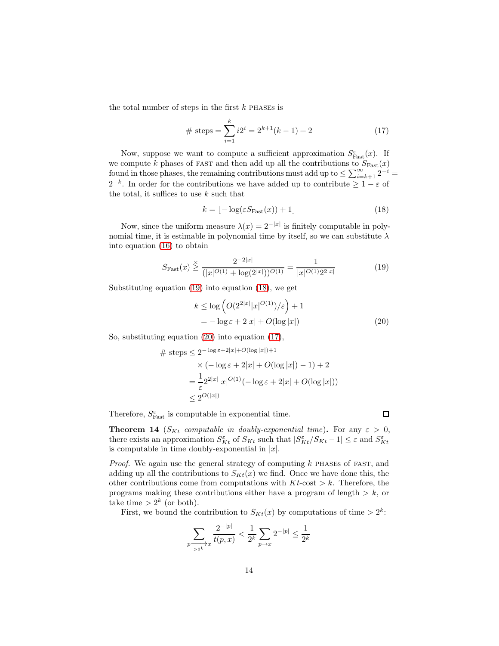the total number of steps in the first  $k$  phases is

<span id="page-13-3"></span># steps = 
$$
\sum_{i=1}^{k} i2^{i} = 2^{k+1}(k-1) + 2
$$
 (17)

Now, suppose we want to compute a sufficient approximation  $S_{\text{Fast}}^{\varepsilon}(x)$ . If we compute k phases of FAST and then add up all the contributions to  $S_{\text{Fast}}(x)$ found in those phases, the remaining contributions must add up to  $\leq \sum_{i=k+1}^{\infty} 2^{-i}$  $2^{-k}$ . In order for the contributions we have added up to contribute  $\geq 1 - \varepsilon$  of the total, it suffices to use  $k$  such that

<span id="page-13-1"></span>
$$
k = \lfloor -\log(\varepsilon S_{\text{Fast}}(x)) + 1 \rfloor \tag{18}
$$

Now, since the uniform measure  $\lambda(x) = 2^{-|x|}$  is finitely computable in polynomial time, it is estimable in polynomial time by itself, so we can substitute  $\lambda$ into equation [\(16\)](#page-11-2) to obtain

$$
S_{\text{Fast}}(x) \stackrel{\times}{\geq} \frac{2^{-2|x|}}{(|x|^{O(1)} + \log(2^{|x|}))^{O(1)}} = \frac{1}{|x|^{O(1)}2^{2|x|}} \tag{19}
$$

Substituting equation [\(19\)](#page-13-0) into equation [\(18\)](#page-13-1), we get

$$
k \leq \log \left( O(2^{2|x|} |x|^{O(1)}) / \varepsilon \right) + 1
$$
  
=  $-\log \varepsilon + 2|x| + O(\log |x|)$  (20)

So, substituting equation [\(20\)](#page-13-2) into equation [\(17\)](#page-13-3),

$$
\# \text{ steps} \le 2^{-\log \varepsilon + 2|x| + O(\log |x|) + 1} \times (-\log \varepsilon + 2|x| + O(\log |x|) - 1) + 2
$$

$$
= \frac{1}{\varepsilon} 2^{2|x|} |x|^{O(1)} (-\log \varepsilon + 2|x| + O(\log |x|))
$$

$$
\le 2^{O(|x|)}
$$

Therefore,  $S_{\text{Fast}}^{\varepsilon}$  is computable in exponential time.

<span id="page-13-2"></span><span id="page-13-0"></span> $\Box$ 

**Theorem 14** ( $S_{Kt}$  *computable in doubly-exponential time*). For any  $\varepsilon > 0$ , there exists an approximation  $S_{Kt}^{\varepsilon}$  of  $S_{Kt}$  such that  $|S_{Kt}^{\varepsilon}/S_{Kt} - 1| \leq \varepsilon$  and  $S_{Kt}^{\varepsilon}$ is computable in time doubly-exponential in  $|x|$ .

*Proof.* We again use the general strategy of computing k PHASEs of FAST, and adding up all the contributions to  $S_{Kt}(x)$  we find. Once we have done this, the other contributions come from computations with  $Kt$ -cost  $\geq k$ . Therefore, the programs making these contributions either have a program of length  $> k$ , or take time  $> 2^k$  (or both).

First, we bound the contribution to  $S_{Kt}(x)$  by computations of time  $> 2^k$ :

$$
\sum_{p \geq 2^k} \frac{2^{-|p|}}{t(p,x)} < \frac{1}{2^k} \sum_{p \to x} 2^{-|p|} \leq \frac{1}{2^k}
$$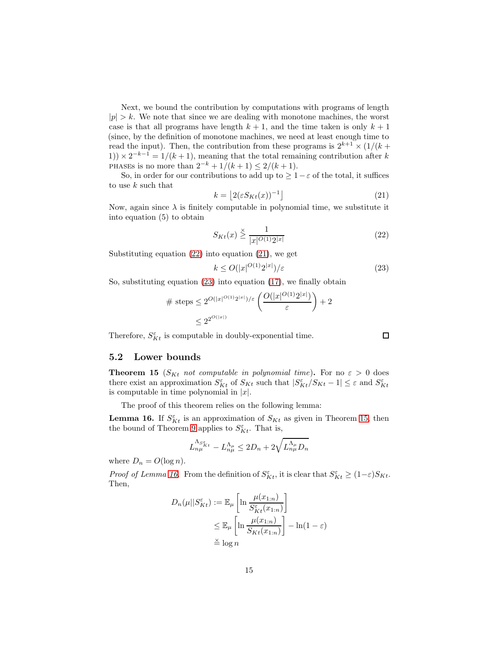Next, we bound the contribution by computations with programs of length  $|p| > k$ . We note that since we are dealing with monotone machines, the worst case is that all programs have length  $k + 1$ , and the time taken is only  $k + 1$ (since, by the definition of monotone machines, we need at least enough time to read the input). Then, the contribution from these programs is  $2^{k+1} \times (1/(k +$ 1))  $\times 2^{-k-1} = 1/(k+1)$ , meaning that the total remaining contribution after k PHASES is no more than  $2^{-k} + 1/(k+1) \leq 2/(k+1)$ .

So, in order for our contributions to add up to  $\geq 1-\varepsilon$  of the total, it suffices to use  $k$  such that

<span id="page-14-2"></span>
$$
k = \left\lfloor 2(\varepsilon S_{Kt}(x))^{-1} \right\rfloor \tag{21}
$$

Now, again since  $\lambda$  is finitely computable in polynomial time, we substitute it into equation (5) to obtain

<span id="page-14-1"></span>
$$
S_{Kt}(x) \stackrel{\times}{\geq} \frac{1}{|x|^{O(1)}2^{|x|}}\tag{22}
$$

Substituting equation [\(22\)](#page-14-1) into equation [\(21\)](#page-14-2), we get

<span id="page-14-3"></span>
$$
k \le O(|x|^{O(1)}2^{|x|})/\varepsilon \tag{23}
$$

So, substituting equation [\(23\)](#page-14-3) into equation [\(17\)](#page-13-3), we finally obtain

$$
\# steps \le 2^{O(|x|^{O(1)}2^{|x|})/\varepsilon} \left( \frac{O(|x|^{O(1)}2^{|x|})}{\varepsilon} \right) + 2
$$
  

$$
\le 2^{2^{O(|x|)}}
$$

Therefore,  $S_{Kt}^{\varepsilon}$  is computable in doubly-exponential time.

### <span id="page-14-0"></span>5.2 Lower bounds

<span id="page-14-4"></span>**Theorem 15** ( $S_{Kt}$  *not computable in polynomial time*). For no  $\varepsilon > 0$  does there exist an approximation  $S_{Kt}^{\varepsilon}$  of  $S_{Kt}$  such that  $|S_{Kt}^{\varepsilon}/S_{Kt} - 1| \leq \varepsilon$  and  $S_{Kt}^{\varepsilon}$ is computable in time polynomial in  $|x|$ .

The proof of this theorem relies on the following lemma:

<span id="page-14-5"></span>**Lemma 16.** If  $S_{Kt}^{\varepsilon}$  is an approximation of  $S_{Kt}$  as given in Theorem [15,](#page-14-4) then the bound of Theorem [9](#page-8-2) applies to  $S_{Kt}^{\varepsilon}$ . That is,

$$
L_{n\mu}^{\Lambda_{S_K^{\varepsilon}}} - L_{n\mu}^{\Lambda_{\mu}} \le 2D_n + 2\sqrt{L_{n\mu}^{\Lambda_{\mu}}D_n}
$$

where  $D_n = O(\log n)$ .

*Proof of Lemma [16.](#page-14-5)* From the definition of  $S_{Kt}^{\varepsilon}$ , it is clear that  $S_{Kt}^{\varepsilon} \geq (1-\varepsilon)S_{Kt}$ . Then,

$$
D_n(\mu||S_{Kt}^{\varepsilon}) := \mathbb{E}_{\mu} \left[ \ln \frac{\mu(x_{1:n})}{S_{Kt}^{\varepsilon}(x_{1:n})} \right]
$$
  

$$
\leq \mathbb{E}_{\mu} \left[ \ln \frac{\mu(x_{1:n})}{S_{Kt}(x_{1:n})} \right] - \ln(1 - \varepsilon)
$$
  

$$
\leq \log n
$$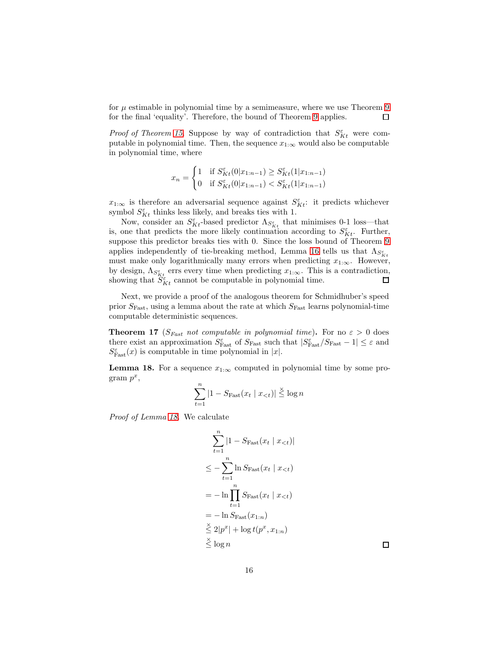for  $\mu$  estimable in polynomial time by a semimeasure, where we use Theorem [9](#page-8-2) for the final 'equality'. Therefore, the bound of Theorem [9](#page-8-2) applies. 口

*Proof of Theorem [15.](#page-14-4)* Suppose by way of contradiction that  $S_{Kt}^{\varepsilon}$  were computable in polynomial time. Then, the sequence  $x_{1:\infty}$  would also be computable in polynomial time, where

$$
x_n = \begin{cases} 1 & \text{if } S_{Kt}^{\varepsilon}(0|x_{1:n-1}) \ge S_{Kt}^{\varepsilon}(1|x_{1:n-1}) \\ 0 & \text{if } S_{Kt}^{\varepsilon}(0|x_{1:n-1}) < S_{Kt}^{\varepsilon}(1|x_{1:n-1}) \end{cases}
$$

 $x_{1:\infty}$  is therefore an adversarial sequence against  $S_{Kt}^{\varepsilon}$ : it predicts whichever symbol $S^\varepsilon_{Kt}$  thinks less likely, and breaks ties with 1.

Now, consider an  $S_{Kt}^{\varepsilon}$ -based predictor  $\Lambda_{S_{Kt}^{\varepsilon}}$  that minimises 0-1 loss—that is, one that predicts the more likely continuation according to  $S_{Kt}^{\varepsilon}$ . Further, suppose this predictor breaks ties with 0. Since the loss bound of Theorem [9](#page-8-2) applies independently of tie-breaking method, Lemma [16](#page-14-5) tells us that  $\Lambda_{S_{Kt}^{\varepsilon}}$ must make only logarithmically many errors when predicting  $x_{1:\infty}$ . However, by design,  $\Lambda_{S_{Kt}^{\varepsilon}}$  errs every time when predicting  $x_{1:\infty}$ . This is a contradiction, showing that  $\ddot{S}_{Kt}^{\varepsilon}$  cannot be computable in polynomial time.

Next, we provide a proof of the analogous theorem for Schmidhuber's speed prior  $S_{\text{Fast}}$ , using a lemma about the rate at which  $S_{\text{Fast}}$  learns polynomial-time computable deterministic sequences.

<span id="page-15-1"></span>**Theorem 17** ( $S_{Fast}$  *not computable in polynomial time*). For no  $\varepsilon > 0$  does there exist an approximation  $S_{\text{Fast}}^{\varepsilon}$  of  $S_{\text{Fast}}$  such that  $|S_{\text{Fast}}^{\varepsilon}/S_{\text{Fast}} - 1| \leq \varepsilon$  and  $S_{\text{Fast}}^{\varepsilon}(x)$  is computable in time polynomial in |x|.

<span id="page-15-0"></span>**Lemma 18.** For a sequence  $x_{1:\infty}$  computed in polynomial time by some pro- $\operatorname{gram} p^x,$ 

$$
\sum_{t=1}^{n} |1 - S_{\text{Fast}}(x_t | x_{< t})| \overset{\times}{\leq} \log n
$$

*Proof of Lemma [18.](#page-15-0)* We calculate

$$
\sum_{t=1}^{n} |1 - S_{\text{Fast}}(x_t | x_{< t})|
$$
\n
$$
\leq - \sum_{t=1}^{n} \ln S_{\text{Fast}}(x_t | x_{< t})
$$
\n
$$
= - \ln \prod_{t=1}^{n} S_{\text{Fast}}(x_t | x_{< t})
$$
\n
$$
= - \ln S_{\text{Fast}}(x_{1:n})
$$
\n
$$
\leq 2|p^x| + \log t(p^x, x_{1:n})
$$
\n
$$
\leq \log n
$$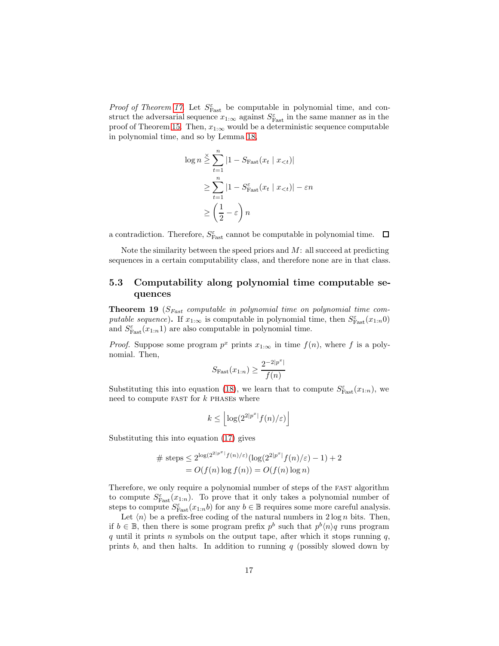*Proof of Theorem [17.](#page-15-1)* Let  $S_{\text{Fast}}^{\varepsilon}$  be computable in polynomial time, and construct the adversarial sequence  $x_{1:\infty}$  against  $S_{\text{Fast}}^{\varepsilon}$  in the same manner as in the proof of Theorem [15.](#page-14-4) Then,  $x_{1:\infty}$  would be a deterministic sequence computable in polynomial time, and so by Lemma [18,](#page-15-0)

$$
\log n \geq \sum_{t=1}^{n} |1 - S_{\text{Fast}}(x_t | x_{< t})|
$$
  
\n
$$
\geq \sum_{t=1}^{n} |1 - S_{\text{Fast}}^{\varepsilon}(x_t | x_{< t})| - \varepsilon n
$$
  
\n
$$
\geq \left(\frac{1}{2} - \varepsilon\right) n
$$

a contradiction. Therefore,  $S_{\text{Fast}}^{\varepsilon}$  cannot be computable in polynomial time.

Note the similarity between the speed priors and  $M$ : all succeed at predicting sequences in a certain computability class, and therefore none are in that class.

### <span id="page-16-0"></span>5.3 Computability along polynomial time computable sequences

<span id="page-16-1"></span>Theorem 19 ( $S_{Fast}$  *computable in polynomial time on polynomial time computable sequence*). If  $x_{1:\infty}$  is computable in polynomial time, then  $S_{\text{Fast}}^{\varepsilon}(x_{1:n}0)$ and  $S_{\text{Fast}}^{\varepsilon}(x_{1:n}1)$  are also computable in polynomial time.

*Proof.* Suppose some program  $p^x$  prints  $x_{1:\infty}$  in time  $f(n)$ , where f is a polynomial. Then,

$$
S_{\text{Fast}}(x_{1:n}) \ge \frac{2^{-2|p^x|}}{f(n)}
$$

Substituting this into equation [\(18\)](#page-13-1), we learn that to compute  $S_{\text{Fast}}^{\varepsilon}(x_{1:n})$ , we need to compute FAST for  $k$  PHASES where

$$
k \le \left\lfloor \log(2^{2|p^x|} f(n)/\varepsilon) \right\rfloor
$$

Substituting this into equation [\(17\)](#page-13-3) gives

$$
\# steps \le 2^{\log(2^{2|p^x|} f(n)/\varepsilon)} (\log(2^{2|p^x|} f(n)/\varepsilon) - 1) + 2
$$
  
=  $O(f(n) \log f(n)) = O(f(n) \log n)$ 

Therefore, we only require a polynomial number of steps of the FAST algorithm to compute  $S_{\text{Fast}}^{\varepsilon}(x_{1:n})$ . To prove that it only takes a polynomial number of steps to compute  $S_{\text{Fast}}^{\varepsilon}(x_{1:n}b)$  for any  $b \in \mathbb{B}$  requires some more careful analysis.

Let  $\langle n \rangle$  be a prefix-free coding of the natural numbers in  $2 \log n$  bits. Then, if  $b \in \mathbb{B}$ , then there is some program prefix  $p^b$  such that  $p^b \langle n \rangle q$  runs program q until it prints n symbols on the output tape, after which it stops running  $q$ , prints b, and then halts. In addition to running  $q$  (possibly slowed down by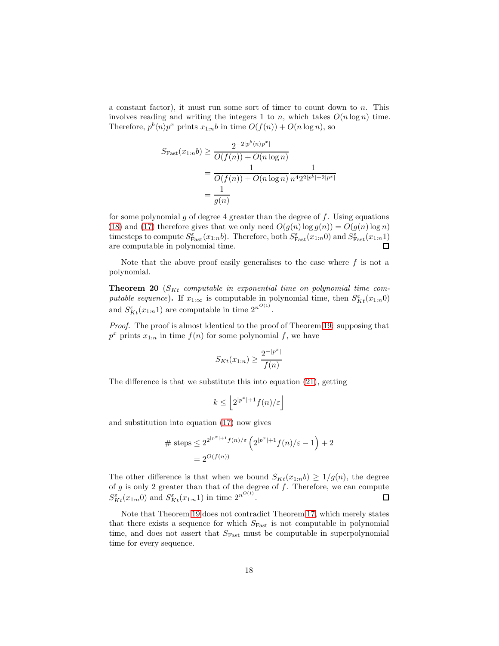a constant factor), it must run some sort of timer to count down to  $n$ . This involves reading and writing the integers 1 to n, which takes  $O(n \log n)$  time. Therefore,  $p^{b}\langle n \rangle p^{x}$  prints  $x_{1:n}b$  in time  $O(f(n)) + O(n \log n)$ , so

$$
S_{\text{Fast}}(x_{1:n}b) \ge \frac{2^{-2|p^b(n)p^x|}}{O(f(n)) + O(n \log n)}
$$
  
= 
$$
\frac{1}{O(f(n)) + O(n \log n)} \frac{1}{n^4 2^{2|p^b| + 2|p^x|}}
$$
  
= 
$$
\frac{1}{g(n)}
$$

for some polynomial g of degree 4 greater than the degree of  $f$ . Using equations [\(18\)](#page-13-1) and [\(17\)](#page-13-3) therefore gives that we only need  $O(g(n) \log g(n)) = O(g(n) \log n)$ timesteps to compute  $S_{\text{Fast}}^{\varepsilon}(x_{1:n}b)$ . Therefore, both  $S_{\text{Fast}}^{\varepsilon}(x_{1:n}0)$  and  $S_{\text{Fast}}^{\varepsilon}(x_{1:n}1)$ are computable in polynomial time.

Note that the above proof easily generalises to the case where  $f$  is not a polynomial.

**Theorem 20** ( $S_{Kt}$  computable in exponential time on polynomial time com*putable sequence*). If  $x_{1:\infty}$  is computable in polynomial time, then  $S_{Kt}^{\varepsilon}(x_{1:n}0)$ and  $S_{Kt}^{\varepsilon}(x_{1:n}1)$  are computable in time  $2^{n^{O(1)}}$ .

*Proof.* The proof is almost identical to the proof of Theorem [19:](#page-16-1) supposing that  $p^x$  prints  $x_{1:n}$  in time  $f(n)$  for some polynomial f, we have

$$
S_{Kt}(x_{1:n}) \ge \frac{2^{-|p^x|}}{f(n)}
$$

The difference is that we substitute this into equation [\(21\)](#page-14-2), getting

$$
k \le \left\lfloor 2^{|p^x|+1} f(n)/\varepsilon \right\rfloor
$$

and substitution into equation [\(17\)](#page-13-3) now gives

$$
\# steps \le 2^{2^{\lfloor p^x \rfloor + 1} f(n)/\varepsilon} \left( 2^{\lfloor p^x \rfloor + 1} f(n)/\varepsilon - 1 \right) + 2
$$
  
=  $2^{O(f(n))}$ 

The other difference is that when we bound  $S_{Kt}(x_{1:n}b) \geq 1/g(n)$ , the degree of  $g$  is only 2 greater than that of the degree of  $f$ . Therefore, we can compute  $S_{Kt}^{\varepsilon}(x_{1:n}0)$  and  $S_{Kt}^{\varepsilon}(x_{1:n}1)$  in time  $2^{n^{O(1)}}$ . □

Note that Theorem [19](#page-16-1) does not contradict Theorem [17,](#page-15-1) which merely states that there exists a sequence for which  $S_{\text{Fast}}$  is not computable in polynomial time, and does not assert that  $S_{\text{Fast}}$  must be computable in superpolynomial time for every sequence.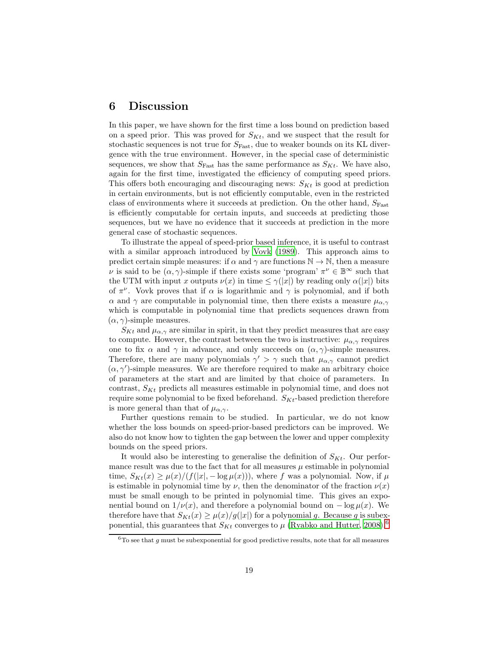### <span id="page-18-0"></span>6 Discussion

In this paper, we have shown for the first time a loss bound on prediction based on a speed prior. This was proved for  $S_{Kt}$ , and we suspect that the result for stochastic sequences is not true for  $S_{\text{Fast}}$ , due to weaker bounds on its KL divergence with the true environment. However, in the special case of deterministic sequences, we show that  $S_{\text{Fast}}$  has the same performance as  $S_{Kt}$ . We have also, again for the first time, investigated the efficiency of computing speed priors. This offers both encouraging and discouraging news:  $S_{Kt}$  is good at prediction in certain environments, but is not efficiently computable, even in the restricted class of environments where it succeeds at prediction. On the other hand,  $S_{\text{Fast}}$ is efficiently computable for certain inputs, and succeeds at predicting those sequences, but we have no evidence that it succeeds at prediction in the more general case of stochastic sequences.

To illustrate the appeal of speed-prior based inference, it is useful to contrast with a similar approach introduced by [Vovk \(1989](#page-20-3)). This approach aims to predict certain simple measures: if  $\alpha$  and  $\gamma$  are functions  $\mathbb{N} \to \mathbb{N}$ , then a measure  $ν$  is said to be  $(α, γ)$ -simple if there exists some 'program'  $π<sup>ν</sup> ∈ ℝ<sup>∞</sup>$  such that the UTM with input x outputs  $\nu(x)$  in time  $\leq \gamma(|x|)$  by reading only  $\alpha(|x|)$  bits of  $\pi^{\nu}$ . Vovk proves that if  $\alpha$  is logarithmic and  $\gamma$  is polynomial, and if both  $\alpha$  and  $\gamma$  are computable in polynomial time, then there exists a measure  $\mu_{\alpha,\gamma}$ which is computable in polynomial time that predicts sequences drawn from  $(\alpha, \gamma)$ -simple measures.

 $S_{Kt}$  and  $\mu_{\alpha,\gamma}$  are similar in spirit, in that they predict measures that are easy to compute. However, the contrast between the two is instructive:  $\mu_{\alpha,\gamma}$  requires one to fix  $\alpha$  and  $\gamma$  in advance, and only succeeds on  $(\alpha, \gamma)$ -simple measures. Therefore, there are many polynomials  $\gamma' > \gamma$  such that  $\mu_{\alpha,\gamma}$  cannot predict  $(\alpha, \gamma')$ -simple measures. We are therefore required to make an arbitrary choice of parameters at the start and are limited by that choice of parameters. In contrast,  $S_{Kt}$  predicts all measures estimable in polynomial time, and does not require some polynomial to be fixed beforehand.  $S_{Kt}$ -based prediction therefore is more general than that of  $\mu_{\alpha,\gamma}$ .

Further questions remain to be studied. In particular, we do not know whether the loss bounds on speed-prior-based predictors can be improved. We also do not know how to tighten the gap between the lower and upper complexity bounds on the speed priors.

It would also be interesting to generalise the definition of  $S_{Kt}$ . Our performance result was due to the fact that for all measures  $\mu$  estimable in polynomial time,  $S_{Kt}(x) \ge \mu(x)/(f(|x|, -\log \mu(x)))$ , where f was a polynomial. Now, if  $\mu$ is estimable in polynomial time by  $\nu$ , then the denominator of the fraction  $\nu(x)$ must be small enough to be printed in polynomial time. This gives an exponential bound on  $1/\nu(x)$ , and therefore a polynomial bound on  $-\log \mu(x)$ . We therefore have that  $S_{Kt}(x) \ge \mu(x)/g(|x|)$  for a polynomial g. Because g is subexponential, this guarantees that  $S_{Kt}$  converges to  $\mu$  [\(Ryabko and Hutter](#page-19-9), [2008\)](#page-19-9).<sup>[6](#page-18-1)</sup>

<span id="page-18-1"></span> $6T<sub>0</sub>$  see that g must be subexponential for good predictive results, note that for all measures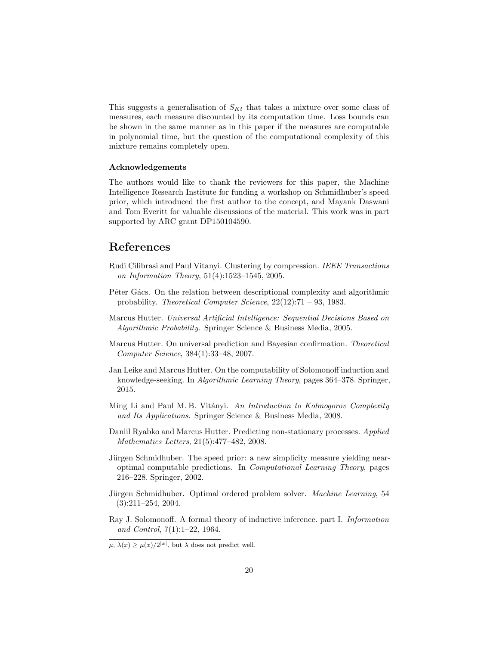This suggests a generalisation of  $S_{Kt}$  that takes a mixture over some class of measures, each measure discounted by its computation time. Loss bounds can be shown in the same manner as in this paper if the measures are computable in polynomial time, but the question of the computational complexity of this mixture remains completely open.

#### Acknowledgements

The authors would like to thank the reviewers for this paper, the Machine Intelligence Research Institute for funding a workshop on Schmidhuber's speed prior, which introduced the first author to the concept, and Mayank Daswani and Tom Everitt for valuable discussions of the material. This work was in part supported by ARC grant DP150104590.

# References

- <span id="page-19-5"></span>Rudi Cilibrasi and Paul Vitanyi. Clustering by compression. *IEEE Transactions on Information Theory*, 51(4):1523–1545, 2005.
- <span id="page-19-8"></span>P<sub>eter</sub> G<sub>acs</sub>. On the relation between descriptional complexity and algorithmic probability. *Theoretical Computer Science*, 22(12):71 – 93, 1983.
- <span id="page-19-1"></span>Marcus Hutter. *Universal Artificial Intelligence: Sequential Decisions Based on Algorithmic Probability*. Springer Science & Business Media, 2005.
- <span id="page-19-3"></span>Marcus Hutter. On universal prediction and Bayesian confirmation. *Theoretical Computer Science*, 384(1):33–48, 2007.
- <span id="page-19-4"></span>Jan Leike and Marcus Hutter. On the computability of Solomonoff induction and knowledge-seeking. In *Algorithmic Learning Theory*, pages 364–378. Springer, 2015.
- <span id="page-19-7"></span>Ming Li and Paul M. B. Vitányi. *An Introduction to Kolmogorov Complexity and Its Applications*. Springer Science & Business Media, 2008.
- <span id="page-19-9"></span>Daniil Ryabko and Marcus Hutter. Predicting non-stationary processes. *Applied Mathematics Letters*, 21(5):477–482, 2008.
- <span id="page-19-0"></span>Jürgen Schmidhuber. The speed prior: a new simplicity measure yielding nearoptimal computable predictions. In *Computational Learning Theory*, pages 216–228. Springer, 2002.
- <span id="page-19-6"></span>Jürgen Schmidhuber. Optimal ordered problem solver. *Machine Learning*, 54 (3):211–254, 2004.
- <span id="page-19-2"></span>Ray J. Solomonoff. A formal theory of inductive inference. part I. *Information and Control*, 7(1):1–22, 1964.

 $\mu$ ,  $\lambda(x) \geq \mu(x)/2^{|x|}$ , but  $\lambda$  does not predict well.